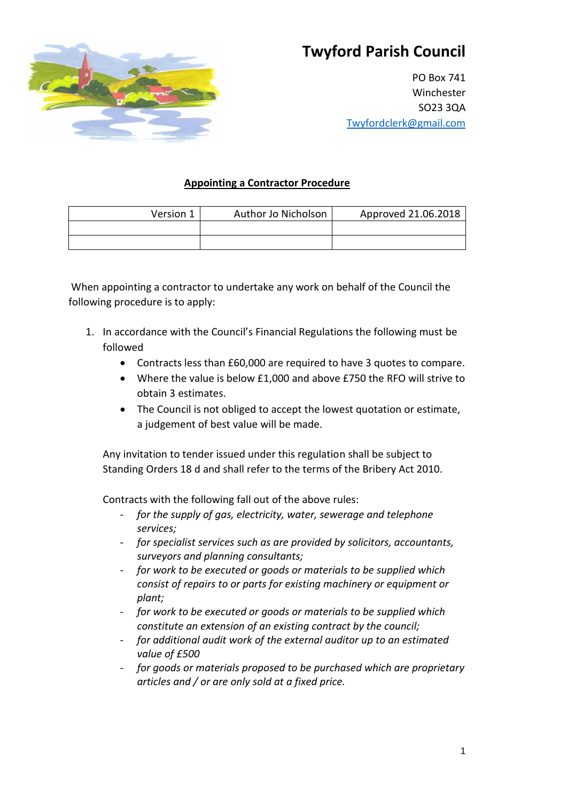

## **Twyford Parish Council**

PO Box 741 Winchester SO23 3QA [Twyfordclerk@gmail.com](mailto:Twyfordclerk@gmail.com)

## **Appointing a Contractor Procedure**

| Version 1 | Author Jo Nicholson | Approved 21.06.2018 |
|-----------|---------------------|---------------------|
|           |                     |                     |
|           |                     |                     |

When appointing a contractor to undertake any work on behalf of the Council the following procedure is to apply:

- 1. In accordance with the Council's Financial Regulations the following must be followed
	- Contracts less than £60,000 are required to have 3 quotes to compare.
	- Where the value is below £1,000 and above £750 the RFO will strive to obtain 3 estimates.
	- The Council is not obliged to accept the lowest quotation or estimate, a judgement of best value will be made.

Any invitation to tender issued under this regulation shall be subject to Standing Orders 18 d and shall refer to the terms of the Bribery Act 2010.

Contracts with the following fall out of the above rules:

- *for the supply of gas, electricity, water, sewerage and telephone services;*
- *for specialist services such as are provided by solicitors, accountants, surveyors and planning consultants;*
- *for work to be executed or goods or materials to be supplied which consist of repairs to or parts for existing machinery or equipment or plant;*
- *for work to be executed or goods or materials to be supplied which constitute an extension of an existing contract by the council;*
- *for additional audit work of the external auditor up to an estimated value of £500*
- *for goods or materials proposed to be purchased which are proprietary articles and / or are only sold at a fixed price.*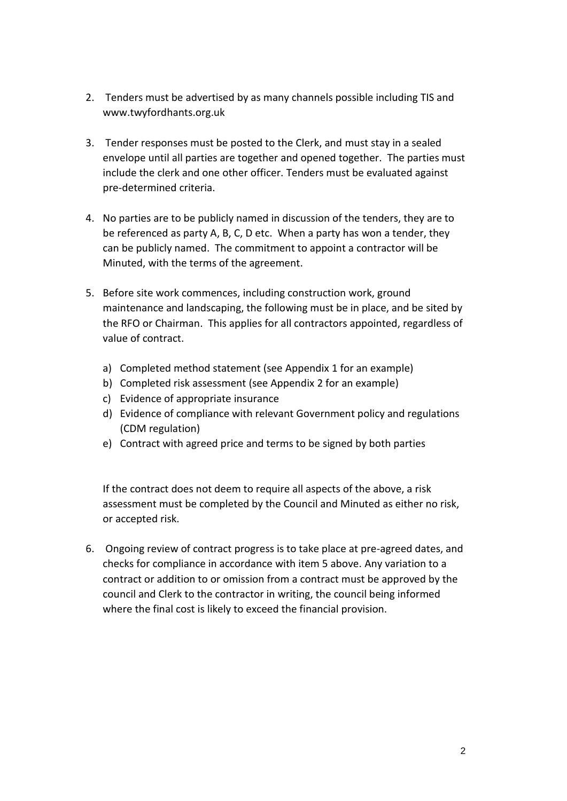- 2. Tenders must be advertised by as many channels possible including TIS and www.twyfordhants.org.uk
- 3. Tender responses must be posted to the Clerk, and must stay in a sealed envelope until all parties are together and opened together. The parties must include the clerk and one other officer. Tenders must be evaluated against pre-determined criteria.
- 4. No parties are to be publicly named in discussion of the tenders, they are to be referenced as party A, B, C, D etc. When a party has won a tender, they can be publicly named. The commitment to appoint a contractor will be Minuted, with the terms of the agreement.
- 5. Before site work commences, including construction work, ground maintenance and landscaping, the following must be in place, and be sited by the RFO or Chairman. This applies for all contractors appointed, regardless of value of contract.
	- a) Completed method statement (see Appendix 1 for an example)
	- b) Completed risk assessment (see Appendix 2 for an example)
	- c) Evidence of appropriate insurance
	- d) Evidence of compliance with relevant Government policy and regulations (CDM regulation)
	- e) Contract with agreed price and terms to be signed by both parties

If the contract does not deem to require all aspects of the above, a risk assessment must be completed by the Council and Minuted as either no risk, or accepted risk.

6. Ongoing review of contract progress is to take place at pre-agreed dates, and checks for compliance in accordance with item 5 above. Any variation to a contract or addition to or omission from a contract must be approved by the council and Clerk to the contractor in writing, the council being informed where the final cost is likely to exceed the financial provision.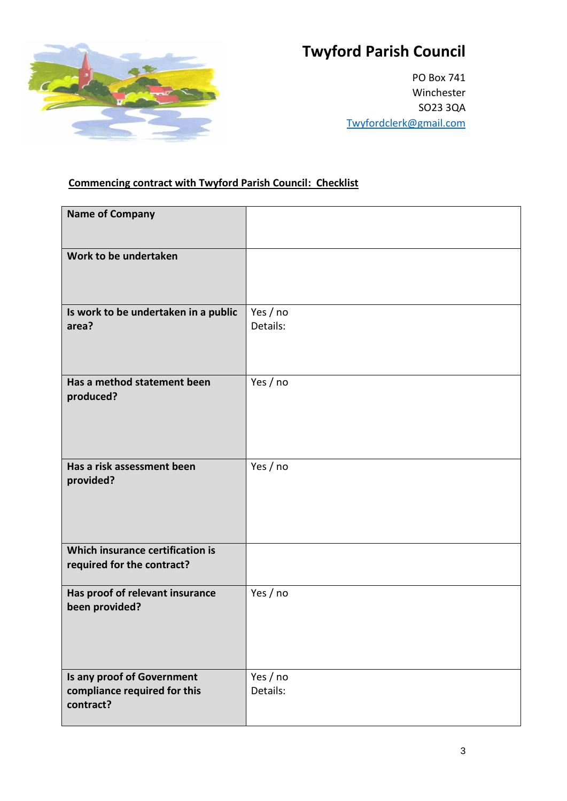

## **Twyford Parish Council**

PO Box 741 Winchester SO23 3QA [Twyfordclerk@gmail.com](mailto:Twyfordclerk@gmail.com)

## **Commencing contract with Twyford Parish Council: Checklist**

| <b>Name of Company</b>                                                  |                      |
|-------------------------------------------------------------------------|----------------------|
| Work to be undertaken                                                   |                      |
| Is work to be undertaken in a public<br>area?                           | Yes / no<br>Details: |
| Has a method statement been<br>produced?                                | Yes / no             |
| Has a risk assessment been<br>provided?                                 | Yes / no             |
| Which insurance certification is<br>required for the contract?          |                      |
| Has proof of relevant insurance<br>been provided?                       | Yes / no             |
| Is any proof of Government<br>compliance required for this<br>contract? | Yes / no<br>Details: |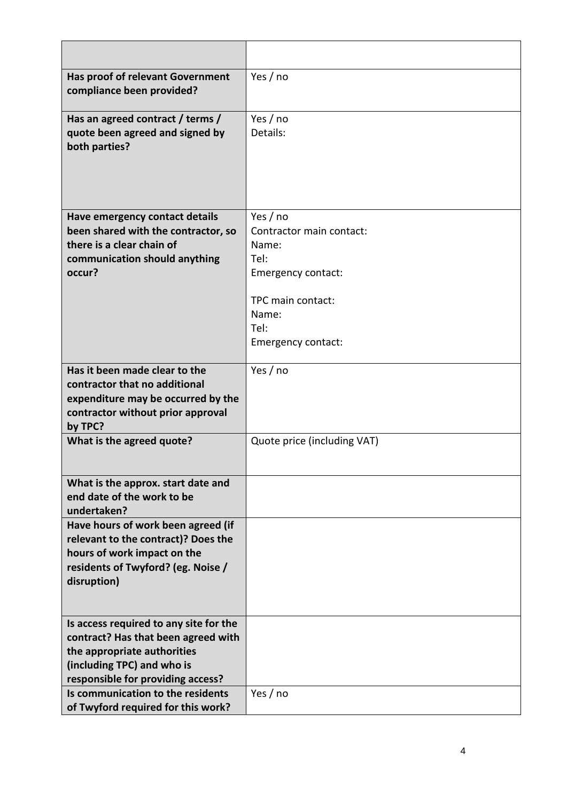| <b>Has proof of relevant Government</b><br>compliance been provided?                                                                                                            | Yes / no                                                                                                                    |
|---------------------------------------------------------------------------------------------------------------------------------------------------------------------------------|-----------------------------------------------------------------------------------------------------------------------------|
| Has an agreed contract / terms /<br>quote been agreed and signed by<br>both parties?                                                                                            | Yes / no<br>Details:                                                                                                        |
| Have emergency contact details                                                                                                                                                  | Yes / no                                                                                                                    |
| been shared with the contractor, so<br>there is a clear chain of<br>communication should anything<br>occur?                                                                     | Contractor main contact:<br>Name:<br>Tel:<br>Emergency contact:<br>TPC main contact:<br>Name:<br>Tel:<br>Emergency contact: |
| Has it been made clear to the<br>contractor that no additional<br>expenditure may be occurred by the<br>contractor without prior approval<br>by TPC?                            | Yes / no                                                                                                                    |
| What is the agreed quote?                                                                                                                                                       | Quote price (including VAT)                                                                                                 |
| What is the approx. start date and<br>end date of the work to be<br>undertaken?                                                                                                 |                                                                                                                             |
| Have hours of work been agreed (if<br>relevant to the contract)? Does the<br>hours of work impact on the<br>residents of Twyford? (eg. Noise /<br>disruption)                   |                                                                                                                             |
| Is access required to any site for the<br>contract? Has that been agreed with<br>the appropriate authorities<br>(including TPC) and who is<br>responsible for providing access? |                                                                                                                             |
| Is communication to the residents<br>of Twyford required for this work?                                                                                                         | Yes / no                                                                                                                    |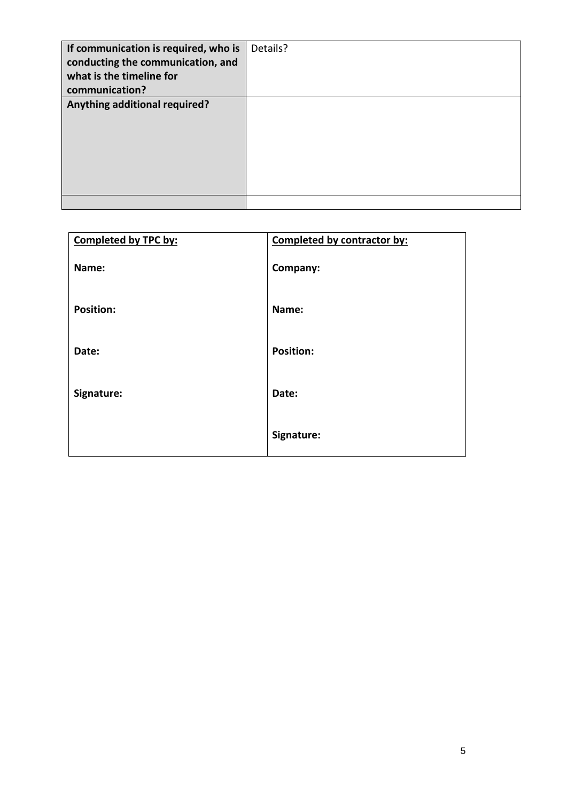| If communication is required, who is<br>conducting the communication, and<br>what is the timeline for<br>communication? | Details? |
|-------------------------------------------------------------------------------------------------------------------------|----------|
| Anything additional required?                                                                                           |          |
|                                                                                                                         |          |

| <b>Completed by TPC by:</b> | Completed by contractor by: |
|-----------------------------|-----------------------------|
| Name:                       | Company:                    |
| <b>Position:</b>            | Name:                       |
| Date:                       | <b>Position:</b>            |
| Signature:                  | Date:                       |
|                             | Signature:                  |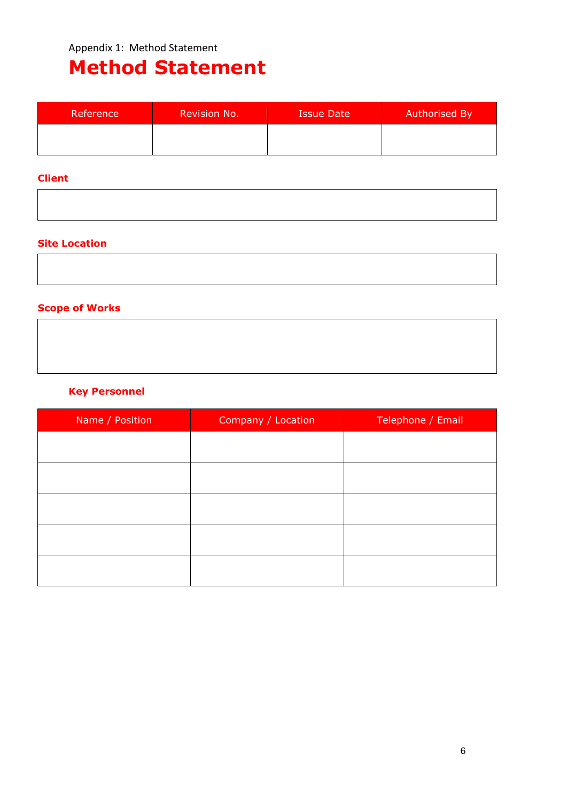Appendix 1: Method Statement

# **Method Statement**

| Reference | <b>Revision No.</b> | <b>Issue Date</b> | Authorised By |
|-----------|---------------------|-------------------|---------------|
|           |                     |                   |               |

#### **Client**

#### **Site Location**

## **Scope of Works**

| <b>Key Personnel</b> |  |
|----------------------|--|

| Name / Position | Company / Location | Telephone / Email |
|-----------------|--------------------|-------------------|
|                 |                    |                   |
|                 |                    |                   |
|                 |                    |                   |
|                 |                    |                   |
|                 |                    |                   |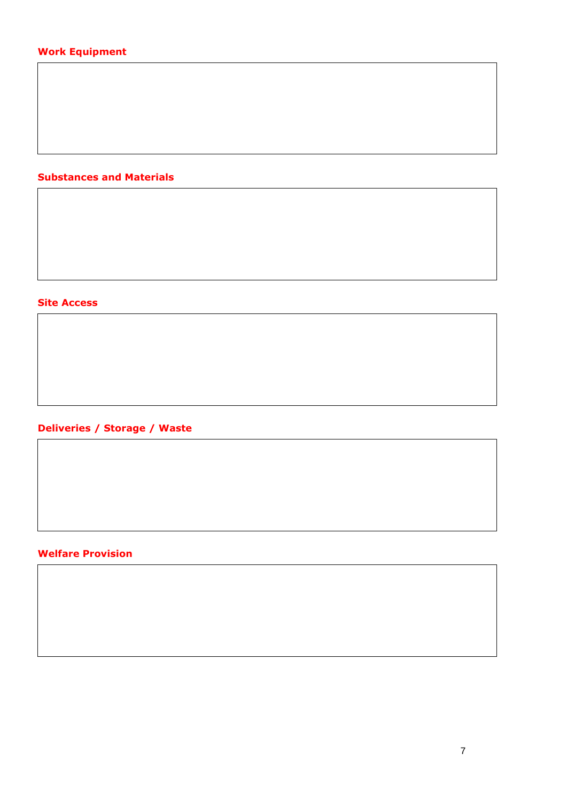## **Substances and Materials**

#### **Site Access**

## **Deliveries / Storage / Waste**

#### **Welfare Provision**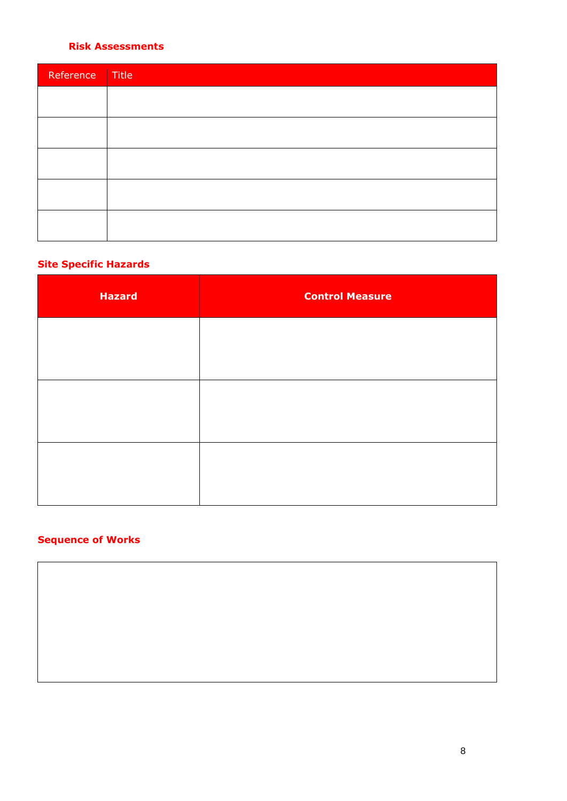#### **Risk Assessments**

| Reference | Title |
|-----------|-------|
|           |       |
|           |       |
|           |       |
|           |       |
|           |       |

## **Site Specific Hazards**

| <b>Hazard</b> | <b>Control Measure</b> |
|---------------|------------------------|
|               |                        |
|               |                        |
|               |                        |
|               |                        |
|               |                        |
|               |                        |

## **Sequence of Works**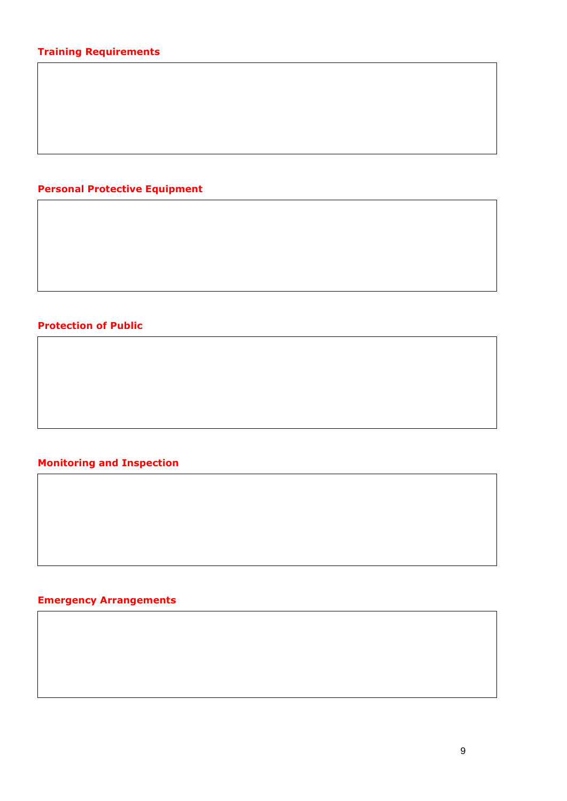## **Personal Protective Equipment**

#### **Protection of Public**

### **Monitoring and Inspection**

## **Emergency Arrangements**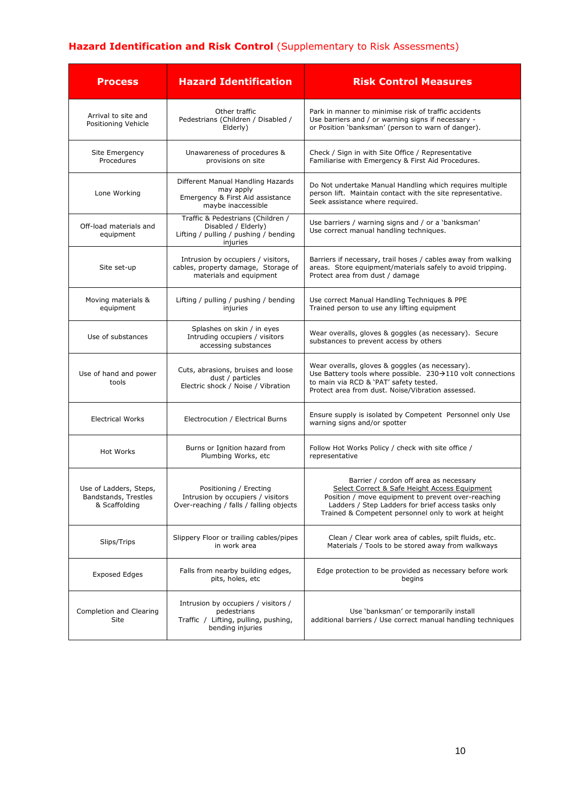## **Hazard Identification and Risk Control** (Supplementary to Risk Assessments)

| <b>Process</b>                                                  | <b>Hazard Identification</b>                                                                                   | <b>Risk Control Measures</b>                                                                                                                                                                                                                                |
|-----------------------------------------------------------------|----------------------------------------------------------------------------------------------------------------|-------------------------------------------------------------------------------------------------------------------------------------------------------------------------------------------------------------------------------------------------------------|
| Arrival to site and<br>Positioning Vehicle                      | Other traffic<br>Pedestrians (Children / Disabled /<br>Elderly)                                                | Park in manner to minimise risk of traffic accidents<br>Use barriers and / or warning signs if necessary -<br>or Position 'banksman' (person to warn of danger).                                                                                            |
| Site Emergency<br>Procedures                                    | Unawareness of procedures &<br>provisions on site                                                              | Check / Sign in with Site Office / Representative<br>Familiarise with Emergency & First Aid Procedures.                                                                                                                                                     |
| Lone Working                                                    | Different Manual Handling Hazards<br>may apply<br>Emergency & First Aid assistance<br>maybe inaccessible       | Do Not undertake Manual Handling which requires multiple<br>person lift. Maintain contact with the site representative.<br>Seek assistance where required.                                                                                                  |
| Off-load materials and<br>equipment                             | Traffic & Pedestrians (Children /<br>Disabled / Elderly)<br>Lifting / pulling / pushing / bending<br>injuries  | Use barriers / warning signs and / or a 'banksman'<br>Use correct manual handling techniques.                                                                                                                                                               |
| Site set-up                                                     | Intrusion by occupiers / visitors,<br>cables, property damage, Storage of<br>materials and equipment           | Barriers if necessary, trail hoses / cables away from walking<br>areas. Store equipment/materials safely to avoid tripping.<br>Protect area from dust / damage                                                                                              |
| Moving materials &<br>equipment                                 | Lifting / pulling / pushing / bending<br>injuries                                                              | Use correct Manual Handling Techniques & PPE<br>Trained person to use any lifting equipment                                                                                                                                                                 |
| Use of substances                                               | Splashes on skin / in eyes<br>Intruding occupiers / visitors<br>accessing substances                           | Wear overalls, gloves & goggles (as necessary). Secure<br>substances to prevent access by others                                                                                                                                                            |
| Use of hand and power<br>tools                                  | Cuts, abrasions, bruises and loose<br>dust / particles<br>Electric shock / Noise / Vibration                   | Wear overalls, gloves & goggles (as necessary).<br>Use Battery tools where possible. $230 \rightarrow 110$ volt connections<br>to main via RCD & 'PAT' safety tested.<br>Protect area from dust. Noise/Vibration assessed.                                  |
| <b>Electrical Works</b>                                         | Electrocution / Electrical Burns                                                                               | Ensure supply is isolated by Competent Personnel only Use<br>warning signs and/or spotter                                                                                                                                                                   |
| Hot Works                                                       | Burns or Ignition hazard from<br>Plumbing Works, etc                                                           | Follow Hot Works Policy / check with site office /<br>representative                                                                                                                                                                                        |
| Use of Ladders, Steps,<br>Bandstands, Trestles<br>& Scaffolding | Positioning / Erecting<br>Intrusion by occupiers / visitors<br>Over-reaching / falls / falling objects         | Barrier / cordon off area as necessary<br>Select Correct & Safe Height Access Equipment<br>Position / move equipment to prevent over-reaching<br>Ladders / Step Ladders for brief access tasks only<br>Trained & Competent personnel only to work at height |
| Slips/Trips                                                     | Slippery Floor or trailing cables/pipes<br>in work area                                                        | Clean / Clear work area of cables, spilt fluids, etc.<br>Materials / Tools to be stored away from walkways                                                                                                                                                  |
| <b>Exposed Edges</b>                                            | Falls from nearby building edges,<br>pits, holes, etc                                                          | Edge protection to be provided as necessary before work<br>begins                                                                                                                                                                                           |
| Completion and Clearing<br>Site                                 | Intrusion by occupiers / visitors /<br>pedestrians<br>Traffic / Lifting, pulling, pushing,<br>bending injuries | Use 'banksman' or temporarily install<br>additional barriers / Use correct manual handling techniques                                                                                                                                                       |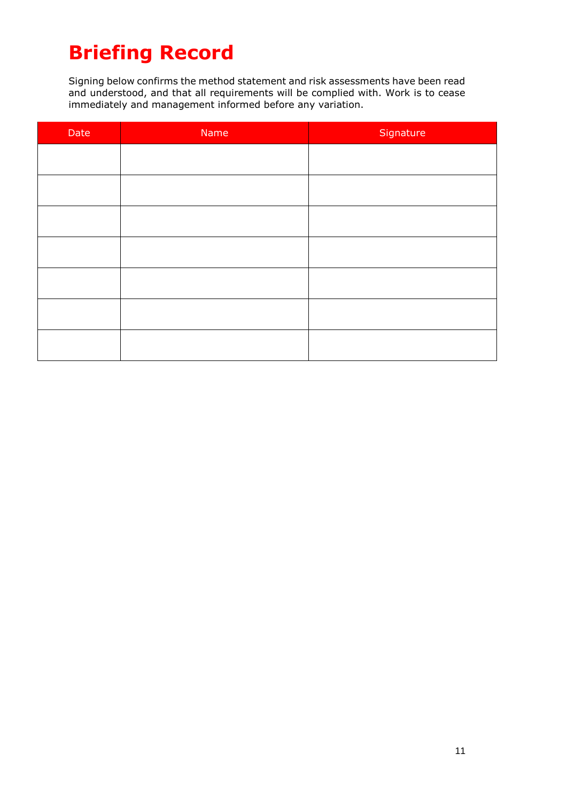# **Briefing Record**

Signing below confirms the method statement and risk assessments have been read and understood, and that all requirements will be complied with. Work is to cease immediately and management informed before any variation.

| Date | Name | Signature |
|------|------|-----------|
|      |      |           |
|      |      |           |
|      |      |           |
|      |      |           |
|      |      |           |
|      |      |           |
|      |      |           |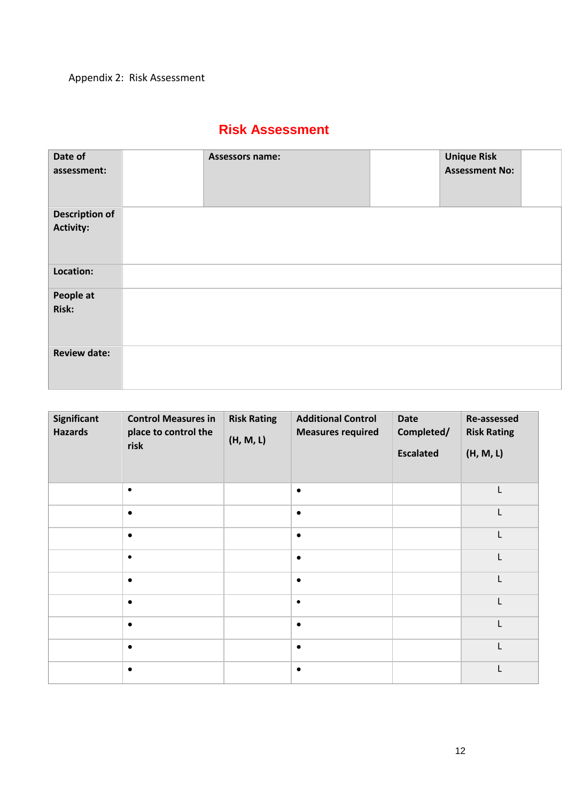## Appendix 2: Risk Assessment

## **Risk Assessment**

| Date of<br>assessment:                    | <b>Assessors name:</b> | <b>Unique Risk</b><br><b>Assessment No:</b> |  |
|-------------------------------------------|------------------------|---------------------------------------------|--|
| <b>Description of</b><br><b>Activity:</b> |                        |                                             |  |
| Location:                                 |                        |                                             |  |
| People at<br>Risk:                        |                        |                                             |  |
| <b>Review date:</b>                       |                        |                                             |  |

| <b>Significant</b><br><b>Hazards</b> | <b>Control Measures in</b><br>place to control the<br>risk | <b>Risk Rating</b><br>(H, M, L) | <b>Additional Control</b><br><b>Measures required</b> | <b>Date</b><br>Completed/<br><b>Escalated</b> | Re-assessed<br><b>Risk Rating</b><br>(H, M, L) |
|--------------------------------------|------------------------------------------------------------|---------------------------------|-------------------------------------------------------|-----------------------------------------------|------------------------------------------------|
|                                      | $\bullet$                                                  |                                 | $\bullet$                                             |                                               | L                                              |
|                                      | $\bullet$                                                  |                                 | $\bullet$                                             |                                               | L                                              |
|                                      | $\bullet$                                                  |                                 |                                                       |                                               | L                                              |
|                                      | $\bullet$                                                  |                                 |                                                       |                                               | L                                              |
|                                      | $\bullet$                                                  |                                 | $\bullet$                                             |                                               | L                                              |
|                                      | $\bullet$                                                  |                                 | $\bullet$                                             |                                               | $\mathsf{L}$                                   |
|                                      | $\bullet$                                                  |                                 | $\bullet$                                             |                                               | $\mathsf{L}$                                   |
|                                      | $\bullet$                                                  |                                 | $\bullet$                                             |                                               | L                                              |
|                                      | $\bullet$                                                  |                                 | $\bullet$                                             |                                               | $\mathbf{I}$                                   |